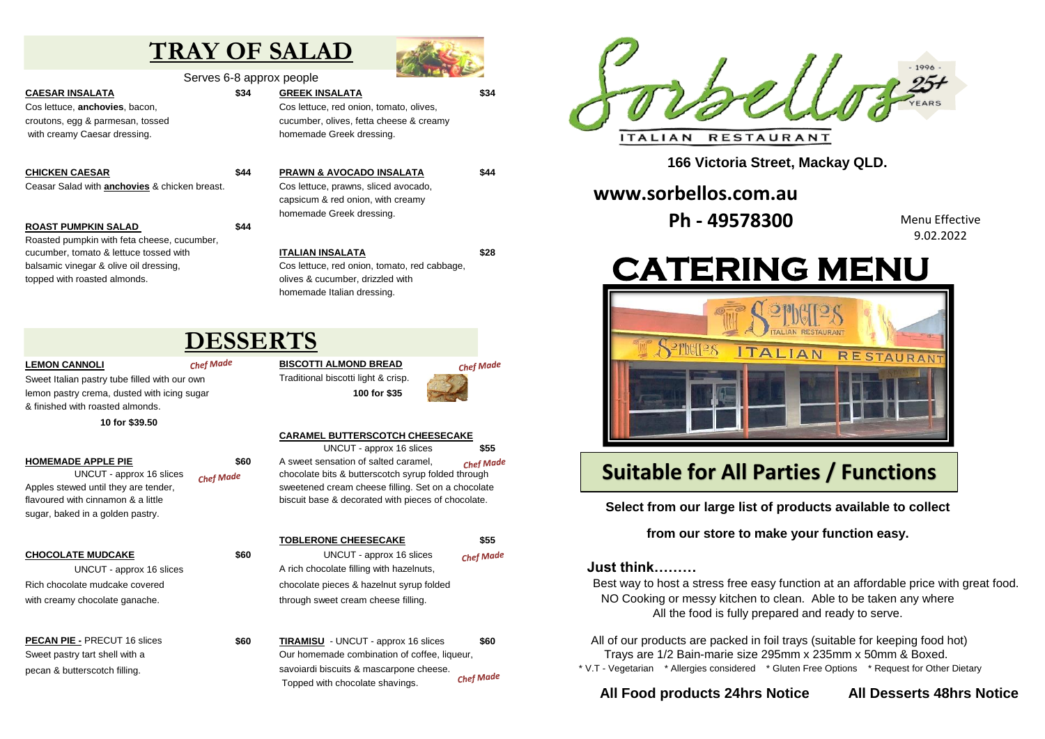# **TRAY OF SALAD**



Serves 6-8 approx people

**CAESAR INSALATA \$34 GREEK INSALATA \$34**

with creamy Caesar dressing. The same of the bookstanding of the state of the state of the bookstanding values

Ceasar Salad with **anchovies** & chicken breast. Cos lettuce, prawns, sliced avocado,

### **ROAST PUMPKIN SALAD \$44**

Roasted pumpkin with feta cheese, cucumber, cucumber, tomato & lettuce tossed with **ITALIAN INSALATA \$28** balsamic vinegar & olive oil dressing, Cos lettuce, red onion, tomato, red cabbage, topped with roasted almonds. The control of the cucumber, drizzled with the control of the cucumber, drizzled with

Cos lettuce, **anchovies**, bacon, Cos lettuce, red onion, tomato, olives, croutons, egg & parmesan, tossed cucumber, olives, fetta cheese & creamy

**CHICKEN CAESAR \$44 PRAWN & AVOCADO INSALATA \$44** capsicum & red onion, with creamy homemade Greek dressing.

homemade Italian dressing.

## **DESSERTS**

Sweet Italian pastry tube filled with our own Traditional biscotti light & crisp. lemon pastry crema, dusted with icing sugar **100 for \$35** & finished with roasted almonds.

**10 for \$39.50**

sugar, baked in a golden pastry.

# **LEMON CANNOLI BISCOTTI ALMOND BREAD**



## **CARAMEL BUTTERSCOTCH CHEESECAKE**

UNCUT - approx 16 slices **\$55 HOMEMADE APPLE PIE 1980 \$60** A sweet sensation of salted caramel. **Chef Made** UNCUT - approx 16 slices  $\epsilon_{\text{hef}}$  Made chocolate bits & butterscotch syrup folded through Apples stewed until they are tender, say a sweetened cream cheese filling. Set on a chocolate flavoured with cinnamon & a little **bigger and biscuit base & decorated with pieces of chocolate.** 

### **TOBLERONE CHEESECAKE \$55 CHOCOLATE MUDCAKE \$60** UNCUT - approx 16 slices Chef Made UNCUT - approx 16 slices A rich chocolate filling with hazelnuts,

Rich chocolate mudcake covered chocolate pieces & hazelnut syrup folded with creamy chocolate ganache. through sweet cream cheese filling.

**PECAN PIE -** PRECUT 16 slices **\$60 TIRAMISU** - UNCUT - approx 16 slices **\$60** Sweet pastry tart shell with a Our homemade combination of coffee, liqueur, pecan & butterscotch filling. savoiardi biscuits & mascarpone cheese. **Chef Made** Topped with chocolate shavings.



**166 Victoria Street, Mackay QLD.**

## **www.sorbellos.com.au**

**Ph - 49578300** 

Menu Effective 9.02.2022

# **CATERING MENU**



## **Suitable for All Parties / Functions**

**Select from our large list of products available to collect**

**from our store to make your function easy.**

## **Just think………**

Best way to host a stress free easy function at an affordable price with great food. NO Cooking or messy kitchen to clean. Able to be taken any where All the food is fully prepared and ready to serve.

 All of our products are packed in foil trays (suitable for keeping food hot) Trays are 1/2 Bain-marie size 295mm x 235mm x 50mm & Boxed. \* V.T - Vegetarian \* Allergies considered \* Gluten Free Options \* Request for Other Dietary

## **All Food products 24hrs Notice All Desserts 48hrs Notice**